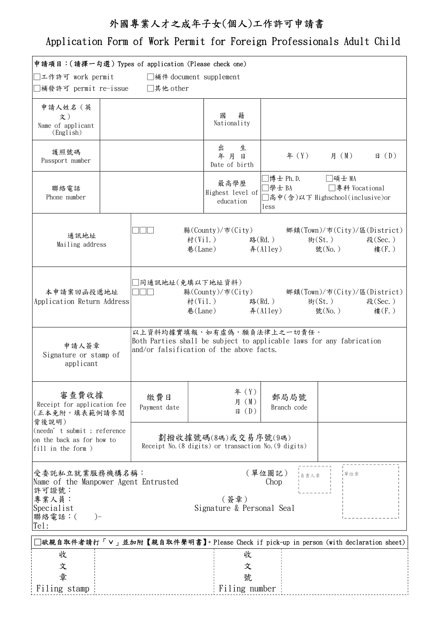## 外國專業人才之成年子女(個人)工作許可申請書

## Application Form of Work Permit for Foreign Professionals Adult Child

| 申請項目:(請擇一勾選) Types of application (Please check one)                                                                                                |  |                                                                                                                                                |                                                                                                                                                                                                                                                                                                                                     |                                                                                        |                       |                 |  |
|-----------------------------------------------------------------------------------------------------------------------------------------------------|--|------------------------------------------------------------------------------------------------------------------------------------------------|-------------------------------------------------------------------------------------------------------------------------------------------------------------------------------------------------------------------------------------------------------------------------------------------------------------------------------------|----------------------------------------------------------------------------------------|-----------------------|-----------------|--|
| ]工作許可 work permit<br>□補件 document supplement                                                                                                        |  |                                                                                                                                                |                                                                                                                                                                                                                                                                                                                                     |                                                                                        |                       |                 |  |
| ]補發許可 permit re-issue  □其他other                                                                                                                     |  |                                                                                                                                                |                                                                                                                                                                                                                                                                                                                                     |                                                                                        |                       |                 |  |
| 申請人姓名(英<br>文)<br>Name of applicant<br>(English)                                                                                                     |  |                                                                                                                                                | 籍<br>國<br>Nationality                                                                                                                                                                                                                                                                                                               |                                                                                        |                       |                 |  |
| 護照號碼<br>Passport number                                                                                                                             |  |                                                                                                                                                | 出<br>生<br>年月日<br>Date of birth                                                                                                                                                                                                                                                                                                      |                                                                                        | 年 (Y) 月 (M)           | $\boxminus$ (D) |  |
| 聯絡電話<br>Phone number                                                                                                                                |  |                                                                                                                                                | 最高學歷<br>Highest level of<br>education                                                                                                                                                                                                                                                                                               | ]博士 Ph.D. □碩士 MA<br>]學士 BA □ 專科 Vocational<br>]高中(含)以下 Highschool(inclusive)or<br>less |                       |                 |  |
| 通訊地址<br>Mailing address                                                                                                                             |  |                                                                                                                                                | 村(Vil.) 路(Rd.)<br>巷(Lane) $\frac{1}{r}$ $\frac{1}{r}$ $\frac{1}{r}$ $\frac{1}{r}$ $\frac{1}{r}$ $\frac{1}{r}$ $\frac{1}{r}$ $\frac{1}{r}$ $\frac{1}{r}$ $\frac{1}{r}$ $\frac{1}{r}$ $\frac{1}{r}$ $\frac{1}{r}$ $\frac{1}{r}$ $\frac{1}{r}$ $\frac{1}{r}$ $\frac{1}{r}$ $\frac{1}{r}$ $\frac{1}{r}$ $\frac{1}{r}$ $\frac{1}{r}$ $\$ |                                                                                        | $#(St. )$ 段 $(Sec. )$ | 樓(F.)           |  |
| 本申請案回函投遞地址<br>Application Return Address                                                                                                            |  | ]同通訊地址(免填以下地址資料)                                                                                                                               | 村(Vil.) 路(Rd.)<br>巷(Lane) $\text{F(A11ey)}$ 號(No.)                                                                                                                                                                                                                                                                                  |                                                                                        | 街(St.) 段(Sec.)        | 樓(F.)           |  |
| 申請人簽章<br>Signature or stamp of<br>applicant                                                                                                         |  | 以上資料均據實填報,如有虛偽,願負法律上之一切責任。<br>Both Parties shall be subject to applicable laws for any fabrication<br>and/or falsification of the above facts. |                                                                                                                                                                                                                                                                                                                                     |                                                                                        |                       |                 |  |
| 審查費收據<br>Receipt for application fee<br>(正本免附,填表範例請參閱<br>背後說明)<br>(needn' t submit ; reference<br>on the back as for how to<br>fill in the form $)$ |  | 繳費日<br>Payment date                                                                                                                            | 年 (Y)<br>月 (M)<br>$\boxplus$ (D)                                                                                                                                                                                                                                                                                                    | 郵局局號<br>Branch code                                                                    |                       |                 |  |
|                                                                                                                                                     |  | 劃撥收據號碼(8碼)或交易序號(9碼)<br>Receipt No. (8 digits) or transaction No. (9 digits)                                                                    |                                                                                                                                                                                                                                                                                                                                     |                                                                                        |                       |                 |  |
| 受委託私立就業服務機構名稱:<br>Name of the Manpower Agent Entrusted<br>許可證號:<br>專業人員:<br>Specialist<br>聯絡電話:(<br>$) -$<br>Tel:                                   |  |                                                                                                                                                | (簽章)                                                                                                                                                                                                                                                                                                                                | (單位圖記)<br>單位章<br>-<br>1負責人章<br>Chop<br>Signature & Personal Seal                       |                       |                 |  |
| □欲親自取件者請打「∨」並加附【親自取件聲明書】。Please Check if pick-up in person (with declaration sheet)                                                                 |  |                                                                                                                                                |                                                                                                                                                                                                                                                                                                                                     |                                                                                        |                       |                 |  |
| 收<br>文<br>章<br>Filing stamp                                                                                                                         |  |                                                                                                                                                | 收<br>文<br>號<br>Filing number                                                                                                                                                                                                                                                                                                        |                                                                                        |                       |                 |  |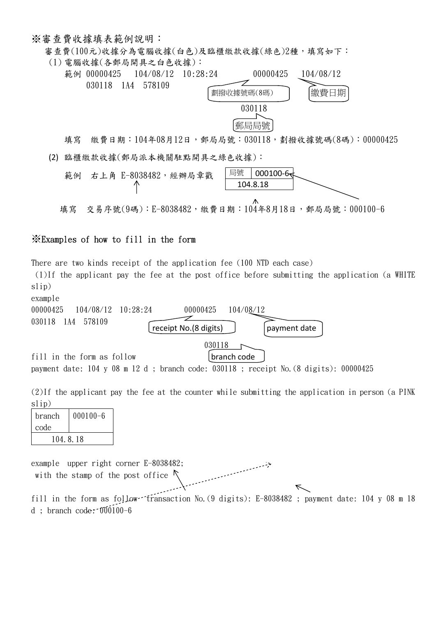※審查費收據填表範例說明:

審查費(100元)收據分為電腦收據(白色)及臨櫃繳款收據(綠色)2種,填寫如下:



填寫 繳費日期: 104年08月12日,郵局局號: 030118,劃撥收據號碼(8碼): 00000425 (2) 臨櫃繳款收據(郵局派本機關駐點開具之綠色收據):



## ※Examples of how to fill in the form

There are two kinds receipt of the application fee (100 NTD each case)

 (1)If the applicant pay the fee at the post office before submitting the application (a WHITE slip)



payment date: 104 y 08 m 12 d ; branch code: 030118 ; receipt No.(8 digits): 00000425

(2)If the applicant pay the fee at the counter while submitting the application in person (a PINK slip)

| branch   | $000100 - 6$ |  |  |  |
|----------|--------------|--|--|--|
| code     |              |  |  |  |
| 104.8.18 |              |  |  |  |

example upper right corner E-8038482; with the stamp of the post office fill in the form as follow fransaction No. (9 digits): E-8038482; payment date: 104 y 08 m 18 d ; branch code: 000100-6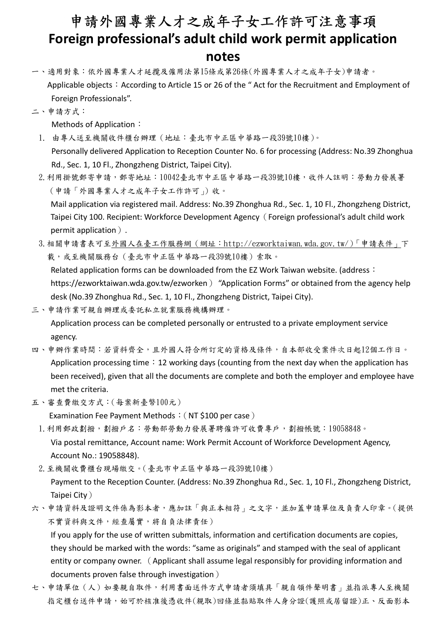## 申請外國專業人才之成年子女工作許可注意事項 Foreign professional's adult child work permit application notes

- 一、適用對象:依外國專業人才延攬及僱用法第15條或第26條(外國專業人才之成年子女)申請者。 Applicable objects: According to Article 15 or 26 of the "Act for the Recruitment and Employment of Foreign Professionals".
- 二、申請方式:

Methods of Application:

- 1. 由專人送至機關收件櫃台辦理(地址:臺北市中正區中華路一段39號10樓)。 Personally delivered Application to Reception Counter No. 6 for processing (Address: No.39 Zhonghua Rd., Sec. 1, 10 Fl., Zhongzheng District, Taipei City).
- 2.利用掛號郵寄申請,郵寄地址:10042臺北市中正區中華路一段39號10樓,收件人註明:勞動力發展署 (申請「外國專業人才之成年子女工作許可」)收。 Mail application via registered mail. Address: No.39 Zhonghua Rd., Sec. 1, 10 Fl., Zhongzheng District, Taipei City 100. Recipient: Workforce Development Agency(Foreign professional's adult child work permit application).
- 3.相關申請書表可至外國人在臺工作服務網(網址:http://ezworktaiwan.wda.gov.tw/)「申請表件」下 載,或至機關服務台(臺北市中正區中華路一段39號10樓)索取。

Related application forms can be downloaded from the EZ Work Taiwan website. (address: https://ezworktaiwan.wda.gov.tw/ezworken) "Application Forms" or obtained from the agency help desk (No.39 Zhonghua Rd., Sec. 1, 10 Fl., Zhongzheng District, Taipei City).

- 三、申請作業可親自辦理或委託私立就業服務機構辦理。 Application process can be completed personally or entrusted to a private employment service agency.
- 四、申辦作業時間:若資料齊全,且外國人符合所訂定的資格及條件,自本部收受案件次日起12個工作日。 Application processing time: 12 working days (counting from the next day when the application has been received), given that all the documents are complete and both the employer and employee have met the criteria.
- 五、審查費繳交方式:(每案新臺幣100元)

Examination Fee Payment Methods: (NT \$100 per case)

- 1.利用郵政劃撥,劃撥戶名:勞動部勞動力發展署聘僱許可收費專戶,劃撥帳號:19058848。 Via postal remittance, Account name: Work Permit Account of Workforce Development Agency, Account No.: 19058848).
- 2.至機關收費櫃台現場繳交。(臺北市中正區中華路一段39號10樓)

 Payment to the Reception Counter. (Address: No.39 Zhonghua Rd., Sec. 1, 10 Fl., Zhongzheng District, Taipei City)

六、申請資料及證明文件係為影本者,應加註「與正本相符」之文字,並加蓋申請單位及負責人印章。(提供 不實資料與文件,經查屬實,將自負法律責任)

 If you apply for the use of written submittals, information and certification documents are copies, they should be marked with the words: "same as originals" and stamped with the seal of applicant entity or company owner. (Applicant shall assume legal responsibly for providing information and documents proven false through investigation)

七、申請單位(人)如要親自取件,利用書面送件方式申請者須填具「親自領件聲明書」並指派專人至機關 指定櫃台送件申請,始可於核准後憑收件(親取)回條並黏貼取件人身分證(護照或居留證)正、反面影本